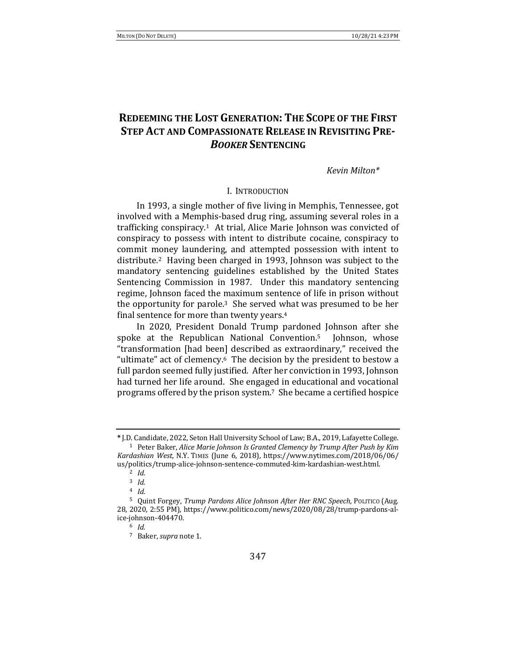# **REDEEMING THE LOST GENERATION: THE SCOPE OF THE FIRST STEP ACT AND COMPASSIONATE RELEASE IN REVISITING PRE-***BOOKER* **SENTENCING**

### *Kevin Milton\**

### I. INTRODUCTION

In 1993, a single mother of five living in Memphis, Tennessee, got involved with a Memphis-based drug ring, assuming several roles in a trafficking conspiracy.<sup>1</sup> At trial, Alice Marie Johnson was convicted of conspiracy to possess with intent to distribute cocaine, conspiracy to commit money laundering, and attempted possession with intent to distribute.<sup>2</sup> Having been charged in 1993, Johnson was subject to the mandatory sentencing guidelines established by the United States Sentencing Commission in 1987. Under this mandatory sentencing regime, Johnson faced the maximum sentence of life in prison without the opportunity for parole.<sup>3</sup> She served what was presumed to be her final sentence for more than twenty years.<sup>4</sup>

In 2020, President Donald Trump pardoned Johnson after she spoke at the Republican National Convention.<sup>5</sup> Johnson, whose "transformation [had been] described as extraordinary," received the "ultimate" act of clemency. $6$  The decision by the president to bestow a full pardon seemed fully justified. After her conviction in 1993, Johnson had turned her life around. She engaged in educational and vocational programs offered by the prison system.<sup>7</sup> She became a certified hospice

**<sup>\*</sup>** J.D. Candidate, 2022, Seton Hall University School of Law; B.A., 2019, Lafayette College. <sup>1</sup> Peter Baker, *Alice Marie Johnson Is Granted Clemency by Trump After Push by Kim Kardashian West*, N.Y. TIMES (June 6, 2018), https://www.nytimes.com/2018/06/06/ us/politics/trump-alice-johnson-sentence-commuted-kim-kardashian-west.html.

<sup>2</sup> *Id.*

<sup>3</sup> *Id.* 

<sup>4</sup> *Id.*

<sup>&</sup>lt;sup>5</sup> Quint Forgey, *Trump Pardons Alice Johnson After Her RNC Speech*, POLITICO (Aug. 28, 2020, 2:55 PM), https://www.politico.com/news/2020/08/28/trump-pardons-alice-johnson-404470.

<sup>6</sup> *Id.*

<sup>&</sup>lt;sup>7</sup> Baker, *supra* note 1.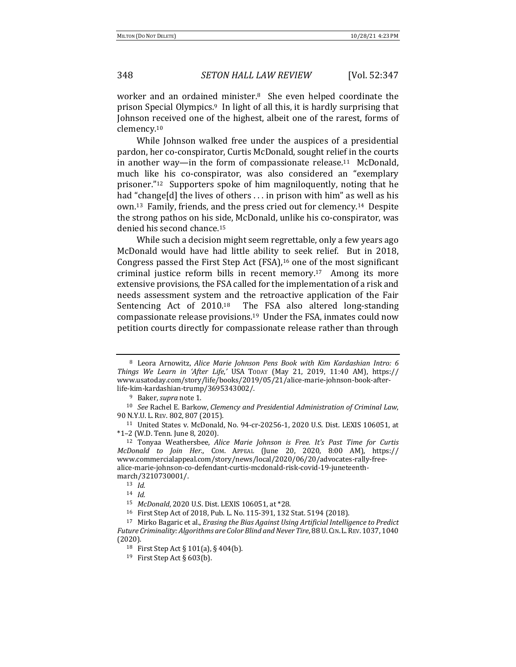worker and an ordained minister.<sup>8</sup> She even helped coordinate the prison Special Olympics.<sup>9</sup> In light of all this, it is hardly surprising that Johnson received one of the highest, albeit one of the rarest, forms of clemency.10

While Johnson walked free under the auspices of a presidential pardon, her co-conspirator, Curtis McDonald, sought relief in the courts in another way—in the form of compassionate release.<sup>11</sup> McDonald, much like his co-conspirator, was also considered an "exemplary prisoner."<sup>12</sup> Supporters spoke of him magniloquently, noting that he had "change[d] the lives of others  $\dots$  in prison with him" as well as his own.<sup>13</sup> Family, friends, and the press cried out for clemency.<sup>14</sup> Despite the strong pathos on his side, McDonald, unlike his co-conspirator, was denied his second chance.<sup>15</sup>

While such a decision might seem regrettable, only a few years ago McDonald would have had little ability to seek relief. But in 2018, Congress passed the First Step Act (FSA),<sup>16</sup> one of the most significant criminal justice reform bills in recent memory.<sup>17</sup> Among its more extensive provisions, the FSA called for the implementation of a risk and needs assessment system and the retroactive application of the Fair Sentencing Act of 2010.<sup>18</sup> The FSA also altered long-standing compassionate release provisions.<sup>19</sup> Under the FSA, inmates could now petition courts directly for compassionate release rather than through

<sup>10</sup> *See* Rachel E. Barkow, *Clemency and Presidential Administration of Criminal Law*, 90 N.Y.U. L. REV. 802, 807 (2015).

<sup>11</sup> United States v. McDonald, No. 94-cr-20256-1, 2020 U.S. Dist. LEXIS 106051, at  $*1-2$  (W.D. Tenn. June 8, 2020).

<sup>12</sup> Tonyaa Weathersbee, *Alice Marie Johnson is Free. It's Past Time for Curtis McDonald to Join Her.*, COM. APPEAL (June 20, 2020, 8:00 AM), https:// www.commercialappeal.com/story/news/local/2020/06/20/advocates-rally-freealice-marie-johnson-co-defendant-curtis-mcdonald-risk-covid-19-juneteenthmarch/3210730001/.

<sup>13</sup> *Id.*

<sup>&</sup>lt;sup>8</sup> Leora Arnowitz, *Alice Marie Johnson Pens Book with Kim Kardashian Intro: 6 Things We Learn in 'After Life*,*'* USA TODAY (May 21, 2019, 11:40 AM), https:// www.usatoday.com/story/life/books/2019/05/21/alice-marie-johnson-book-afterlife-kim-kardashian-trump/3695343002/.

<sup>&</sup>lt;sup>9</sup> Baker, *supra* note 1.

<sup>14</sup> *Id.*

<sup>15</sup> *McDonald*, 2020 U.S. Dist. LEXIS 106051, at \*28.

<sup>&</sup>lt;sup>16</sup> First Step Act of 2018, Pub. L. No. 115-391, 132 Stat. 5194 (2018).

<sup>&</sup>lt;sup>17</sup> Mirko Bagaric et al., *Erasing the Bias Against Using Artificial Intelligence to Predict Future Criminality: Algorithms are Color Blind and Never Tire,* 88 U.CIN.L.REV.1037, 1040 (2020).

<sup>&</sup>lt;sup>18</sup> First Step Act § 101(a), § 404(b).

<sup>&</sup>lt;sup>19</sup> First Step Act § 603(b).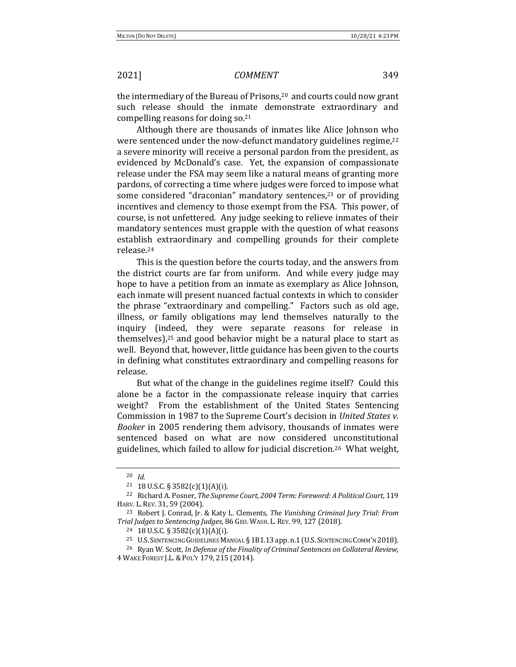the intermediary of the Bureau of Prisons,<sup>20</sup> and courts could now grant such release should the inmate demonstrate extraordinary and compelling reasons for doing so. $21$ 

Although there are thousands of inmates like Alice Johnson who were sentenced under the now-defunct mandatory guidelines regime, $22$ a severe minority will receive a personal pardon from the president, as evidenced by McDonald's case. Yet, the expansion of compassionate release under the FSA may seem like a natural means of granting more pardons, of correcting a time where judges were forced to impose what some considered "draconian" mandatory sentences, $23$  or of providing incentives and clemency to those exempt from the FSA. This power, of course, is not unfettered. Any judge seeking to relieve inmates of their mandatory sentences must grapple with the question of what reasons establish extraordinary and compelling grounds for their complete release.24

This is the question before the courts today, and the answers from the district courts are far from uniform. And while every judge may hope to have a petition from an inmate as exemplary as Alice Johnson, each inmate will present nuanced factual contexts in which to consider the phrase "extraordinary and compelling." Factors such as old age, illness, or family obligations may lend themselves naturally to the inquiry (indeed, they were separate reasons for release in themselves), $25$  and good behavior might be a natural place to start as well. Beyond that, however, little guidance has been given to the courts in defining what constitutes extraordinary and compelling reasons for release.

But what of the change in the guidelines regime itself? Could this alone be a factor in the compassionate release inquiry that carries weight? From the establishment of the United States Sentencing Commission in 1987 to the Supreme Court's decision in *United States v. Booker* in 2005 rendering them advisory, thousands of inmates were sentenced based on what are now considered unconstitutional guidelines, which failed to allow for judicial discretion.<sup>26</sup> What weight,

<sup>20</sup> *Id.*

 $21$  18 U.S.C. § 3582(c)(1)(A)(i).

<sup>&</sup>lt;sup>22</sup> Richard A. Posner, *The Supreme Court, 2004 Term: Foreword: A Political Court,* 119 HARV. L. REV. 31, 59 (2004).

<sup>&</sup>lt;sup>23</sup> Robert J. Conrad, Jr. & Katy L. Clements, *The Vanishing Criminal Jury Trial: From Trial Judges to Sentencing Judges*, 86 GEO. WASH. L. REV. 99, 127 (2018).

 $24$  18 U.S.C. § 3582(c)(1)(A)(i).

<sup>&</sup>lt;sup>25</sup> U.S. SENTENCING GUIDELINES MANUAL § 1B1.13 app. n.1 (U.S. SENTENCING COMM'N 2018).

<sup>&</sup>lt;sup>26</sup> Ryan W. Scott, *In Defense of the Finality of Criminal Sentences on Collateral Review*, 4 WAKE FOREST J.L.&POL'Y 179, 215 (2014).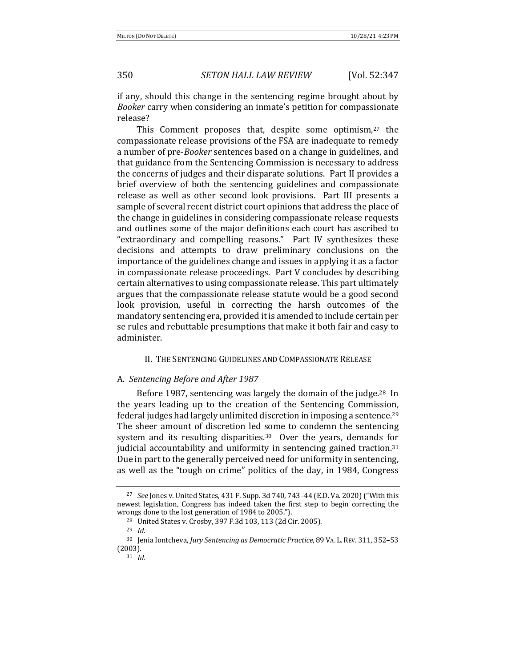if any, should this change in the sentencing regime brought about by *Booker* carry when considering an inmate's petition for compassionate release?

This Comment proposes that, despite some optimism, $27$  the compassionate release provisions of the FSA are inadequate to remedy a number of pre-*Booker* sentences based on a change in guidelines, and that guidance from the Sentencing Commission is necessary to address the concerns of judges and their disparate solutions. Part II provides a brief overview of both the sentencing guidelines and compassionate release as well as other second look provisions. Part III presents a sample of several recent district court opinions that address the place of the change in guidelines in considering compassionate release requests and outlines some of the major definitions each court has ascribed to "extraordinary and compelling reasons." Part IV synthesizes these decisions and attempts to draw preliminary conclusions on the importance of the guidelines change and issues in applying it as a factor in compassionate release proceedings. Part V concludes by describing certain alternatives to using compassionate release. This part ultimately argues that the compassionate release statute would be a good second look provision, useful in correcting the harsh outcomes of the mandatory sentencing era, provided it is amended to include certain per se rules and rebuttable presumptions that make it both fair and easy to administer.

### II. THE SENTENCING GUIDELINES AND COMPASSIONATE RELEASE

### A. *Sentencing Before and After 1987*

Before 1987, sentencing was largely the domain of the judge.<sup>28</sup> In the years leading up to the creation of the Sentencing Commission, federal judges had largely unlimited discretion in imposing a sentence.<sup>29</sup> The sheer amount of discretion led some to condemn the sentencing system and its resulting disparities.<sup>30</sup> Over the years, demands for judicial accountability and uniformity in sentencing gained traction. $31$ Due in part to the generally perceived need for uniformity in sentencing, as well as the "tough on crime" politics of the day, in 1984, Congress

<sup>27</sup> *See* Jones v. United States, 431 F. Supp. 3d 740, 743–44 (E.D. Va. 2020) ("With this newest legislation, Congress has indeed taken the first step to begin correcting the wrongs done to the lost generation of 1984 to 2005.").

<sup>&</sup>lt;sup>28</sup> United States v. Crosby, 397 F.3d 103, 113 (2d Cir. 2005).

<sup>29</sup> *Id.*

<sup>&</sup>lt;sup>30</sup> Jenia Iontcheva, *Jury Sentencing as Democratic Practice*, 89 VA. L. REV. 311, 352-53 (2003).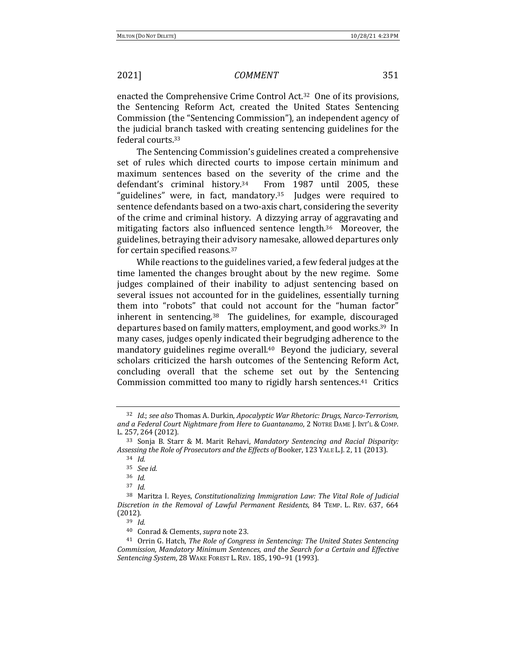enacted the Comprehensive Crime Control Act.<sup>32</sup> One of its provisions, the Sentencing Reform Act, created the United States Sentencing Commission (the "Sentencing Commission"), an independent agency of the judicial branch tasked with creating sentencing guidelines for the federal courts.<sup>33</sup>

The Sentencing Commission's guidelines created a comprehensive set of rules which directed courts to impose certain minimum and maximum sentences based on the severity of the crime and the defendant's criminal history.<sup>34</sup> From 1987 until 2005, these "guidelines" were, in fact, mandatory.<sup>35</sup> Judges were required to sentence defendants based on a two-axis chart, considering the severity of the crime and criminal history. A dizzying array of aggravating and mitigating factors also influenced sentence length.<sup>36</sup> Moreover, the guidelines, betraying their advisory namesake, allowed departures only for certain specified reasons.<sup>37</sup>

While reactions to the guidelines varied, a few federal judges at the time lamented the changes brought about by the new regime. Some judges complained of their inability to adjust sentencing based on several issues not accounted for in the guidelines, essentially turning them into "robots" that could not account for the "human factor" inherent in sentencing.<sup>38</sup> The guidelines, for example, discouraged departures based on family matters, employment, and good works.<sup>39</sup> In many cases, judges openly indicated their begrudging adherence to the mandatory guidelines regime overall. $40$  Beyond the judiciary, several scholars criticized the harsh outcomes of the Sentencing Reform Act, concluding overall that the scheme set out by the Sentencing Commission committed too many to rigidly harsh sentences.<sup>41</sup> Critics

<sup>&</sup>lt;sup>32</sup> *Id.*; see also Thomas A. Durkin, *Apocalyptic War Rhetoric: Drugs, Narco-Terrorism, and a Federal Court Nightmare from Here to Guantanamo*, 2 NOTRE DAME J. INT'L & COMP. L. 257, 264 (2012).

<sup>&</sup>lt;sup>33</sup> Sonja B. Starr & M. Marit Rehavi, *Mandatory Sentencing and Racial Disparity:* Assessing the Role of Prosecutors and the *Effects* of Booker, 123 YALE L.J. 2, 11 (2013).

<sup>34</sup> *Id.*

<sup>35</sup> *See id.*

<sup>36</sup> *Id.*

<sup>37</sup> *Id.*

<sup>&</sup>lt;sup>38</sup> Maritza I. Reyes, *Constitutionalizing Immigration Law: The Vital Role of Judicial* Discretion in the Removal of Lawful Permanent Residents, 84 TEMP. L. REV. 637, 664 (2012).

<sup>39</sup> *Id.*

<sup>&</sup>lt;sup>40</sup> Conrad & Clements, *supra* note 23.

<sup>&</sup>lt;sup>41</sup> Orrin G. Hatch, *The Role of Congress in Sentencing: The United States Sentencing Commission, Mandatory Minimum Sentences, and the Search for a Certain and Effective Sentencing System, 28 WAKE FOREST L. REV. 185, 190-91 (1993).*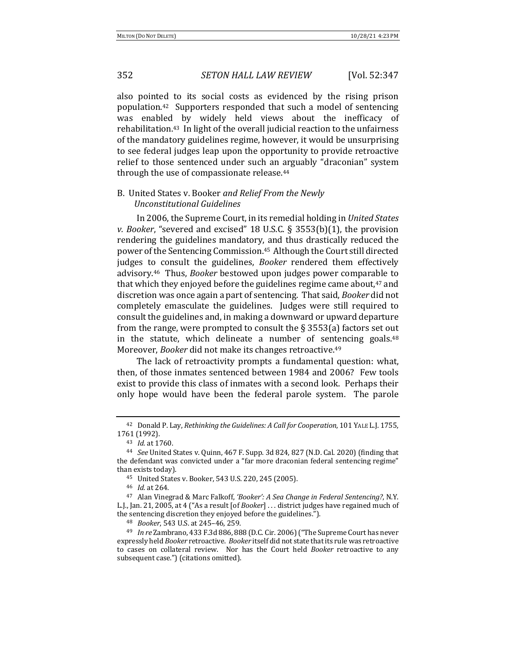also pointed to its social costs as evidenced by the rising prison population.<sup>42</sup> Supporters responded that such a model of sentencing was enabled by widely held views about the inefficacy of rehabilitation.<sup>43</sup> In light of the overall judicial reaction to the unfairness of the mandatory guidelines regime, however, it would be unsurprising to see federal judges leap upon the opportunity to provide retroactive relief to those sentenced under such an arguably "draconian" system through the use of compassionate release.<sup>44</sup>

# B. United States v. Booker *and Relief From the Newly Unconstitutional Guidelines*

In 2006, the Supreme Court, in its remedial holding in *United States v. Booker,* "severed and excised"  $18$  U.S.C. §  $3553(b)(1)$ , the provision rendering the guidelines mandatory, and thus drastically reduced the power of the Sentencing Commission.<sup>45</sup> Although the Court still directed judges to consult the guidelines, *Booker* rendered them effectively advisory.<sup>46</sup> Thus, *Booker* bestowed upon judges power comparable to that which they enjoyed before the guidelines regime came about,<sup>47</sup> and discretion was once again a part of sentencing. That said, *Booker* did not completely emasculate the guidelines. Judges were still required to consult the guidelines and, in making a downward or upward departure from the range, were prompted to consult the  $\S$  3553(a) factors set out in the statute, which delineate a number of sentencing goals. $48$ Moreover, *Booker* did not make its changes retroactive.<sup>49</sup>

The lack of retroactivity prompts a fundamental question: what, then, of those inmates sentenced between 1984 and 2006? Few tools exist to provide this class of inmates with a second look. Perhaps their only hope would have been the federal parole system. The parole

<sup>42</sup> Donald P. Lay, *Rethinking the Guidelines: A Call for Cooperation*, 101 YALE L.J. 1755, 1761 (1992).

<sup>43</sup> *Id.* at 1760.

<sup>&</sup>lt;sup>44</sup> *See* United States v. Quinn, 467 F. Supp. 3d 824, 827 (N.D. Cal. 2020) (finding that the defendant was convicted under a "far more draconian federal sentencing regime" than exists today).

<sup>45</sup> United States v. Booker, 543 U.S. 220, 245 (2005).

<sup>46</sup> *Id.* at 264.

<sup>&</sup>lt;sup>47</sup> Alan Vinegrad & Marc Falkoff, 'Booker': A Sea Change in Federal Sentencing?, N.Y. L.J., Jan. 21, 2005, at 4 ("As a result [of *Booker*] ... district judges have regained much of the sentencing discretion they enjoyed before the guidelines.").

<sup>48</sup> *Booker*, 543 U.S. at 245-46, 259.

<sup>&</sup>lt;sup>49</sup> *In re* Zambrano, 433 F.3d 886, 888 (D.C. Cir. 2006) ("The Supreme Court has never expressly held *Booker* retroactive. Booker itself did not state that its rule was retroactive to cases on collateral review. Nor has the Court held *Booker* retroactive to any subsequent case.") (citations omitted).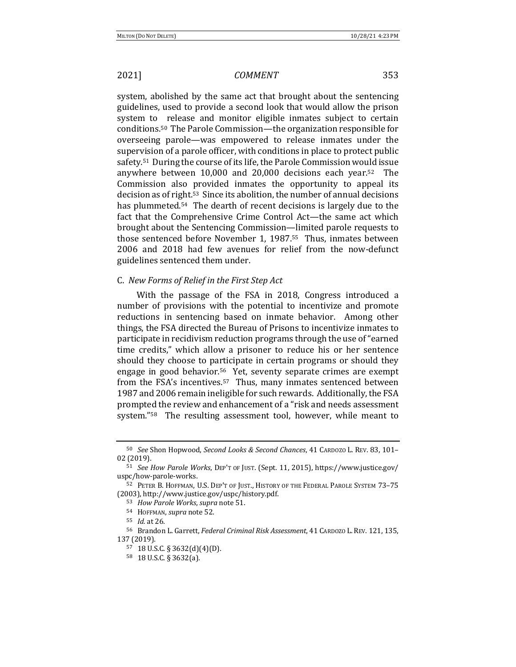system, abolished by the same act that brought about the sentencing guidelines, used to provide a second look that would allow the prison system to release and monitor eligible inmates subject to certain conditions.<sup>50</sup> The Parole Commission—the organization responsible for overseeing parole—was empowered to release inmates under the supervision of a parole officer, with conditions in place to protect public safety.<sup>51</sup> During the course of its life, the Parole Commission would issue anywhere between  $10,000$  and  $20,000$  decisions each year.<sup>52</sup> The Commission also provided inmates the opportunity to appeal its decision as of right.<sup>53</sup> Since its abolition, the number of annual decisions has plummeted.<sup>54</sup> The dearth of recent decisions is largely due to the fact that the Comprehensive Crime Control Act—the same act which brought about the Sentencing Commission—limited parole requests to those sentenced before November 1, 1987.<sup>55</sup> Thus, inmates between 2006 and 2018 had few avenues for relief from the now-defunct guidelines sentenced them under.

### C. *New Forms of Relief in the First Step Act*

With the passage of the FSA in 2018, Congress introduced a number of provisions with the potential to incentivize and promote reductions in sentencing based on inmate behavior. Among other things, the FSA directed the Bureau of Prisons to incentivize inmates to participate in recidivism reduction programs through the use of "earned" time credits," which allow a prisoner to reduce his or her sentence should they choose to participate in certain programs or should they engage in good behavior.<sup>56</sup> Yet, seventy separate crimes are exempt from the FSA's incentives.<sup>57</sup> Thus, many inmates sentenced between 1987 and 2006 remain ineligible for such rewards. Additionally, the FSA prompted the review and enhancement of a "risk and needs assessment system."<sup>58</sup> The resulting assessment tool, however, while meant to

<sup>50</sup> *See* Shon Hopwood, *Second Looks & Second Chances*, 41 CARDOZO L. REV. 83, 101– 02 (2019).

<sup>&</sup>lt;sup>51</sup> *See How Parole Works*, DEP'T OF JUST. (Sept. 11, 2015), https://www.justice.gov/ uspc/how-parole-works.

<sup>52</sup> PETER B. HOFFMAN, U.S. DEP'T OF JUST., HISTORY OF THE FEDERAL PAROLE SYSTEM 73-75 (2003), http://www.justice.gov/uspc/history.pdf.

<sup>53</sup> *How Parole Works*, *supra* note 51.

<sup>54</sup> HOFFMAN, *supra* note 52.

<sup>55</sup> *Id.* at 26.

<sup>56</sup> Brandon L. Garrett, *Federal Criminal Risk Assessment*, 41 CARDOZO L. REV. 121, 135, 137 (2019).

 $57$  18 U.S.C. § 3632(d)(4)(D).

<sup>58</sup> 18 U.S.C. § 3632(a).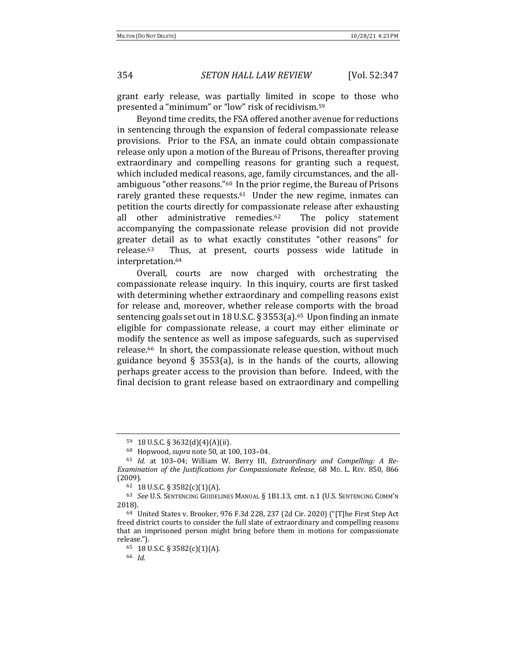grant early release, was partially limited in scope to those who presented a "minimum" or "low" risk of recidivism.<sup>59</sup>

Beyond time credits, the FSA offered another avenue for reductions in sentencing through the expansion of federal compassionate release provisions. Prior to the FSA, an inmate could obtain compassionate release only upon a motion of the Bureau of Prisons, thereafter proving extraordinary and compelling reasons for granting such a request, which included medical reasons, age, family circumstances, and the allambiguous "other reasons."<sup>60</sup> In the prior regime, the Bureau of Prisons rarely granted these requests. $61$  Under the new regime, inmates can petition the courts directly for compassionate release after exhausting all other administrative remedies.<sup>62</sup> The policy statement accompanying the compassionate release provision did not provide greater detail as to what exactly constitutes "other reasons" for release.<sup>63</sup> Thus, at present, courts possess wide latitude in interpretation.64 

Overall, courts are now charged with orchestrating the compassionate release inquiry. In this inquiry, courts are first tasked with determining whether extraordinary and compelling reasons exist for release and, moreover, whether release comports with the broad sentencing goals set out in 18 U.S.C. § 3553(a).<sup>65</sup> Upon finding an inmate eligible for compassionate release, a court may either eliminate or modify the sentence as well as impose safeguards, such as supervised release.<sup>66</sup> In short, the compassionate release question, without much guidance beyond § 3553(a), is in the hands of the courts, allowing perhaps greater access to the provision than before. Indeed, with the final decision to grant release based on extraordinary and compelling

 $59$  18 U.S.C. § 3632(d)(4)(A)(ii).

<sup>60</sup> Hopwood, *supra* note 50, at 100, 103–04.

<sup>&</sup>lt;sup>61</sup> Id. at 103-04; William W. Berry III, *Extraordinary and Compelling: A Re-Examination of the Justifications for Compassionate Release,* 68 Mp. L. REV. 850, 866 (2009).

<sup>62 18</sup> U.S.C.  $\S$  3582(c)(1)(A).

<sup>63</sup> See U.S. SENTENCING GUIDELINES MANUAL § 1B1.13, cmt. n.1 (U.S. SENTENCING COMM'N 2018).

<sup>&</sup>lt;sup>64</sup> United States v. Brooker, 976 F.3d 228, 237 (2d Cir. 2020) ("[T]he First Step Act freed district courts to consider the full slate of extraordinary and compelling reasons that an imprisoned person might bring before them in motions for compassionate release.").

<sup>65 18</sup> U.S.C.  $\S$  3582(c)(1)(A).

<sup>66</sup> *Id.*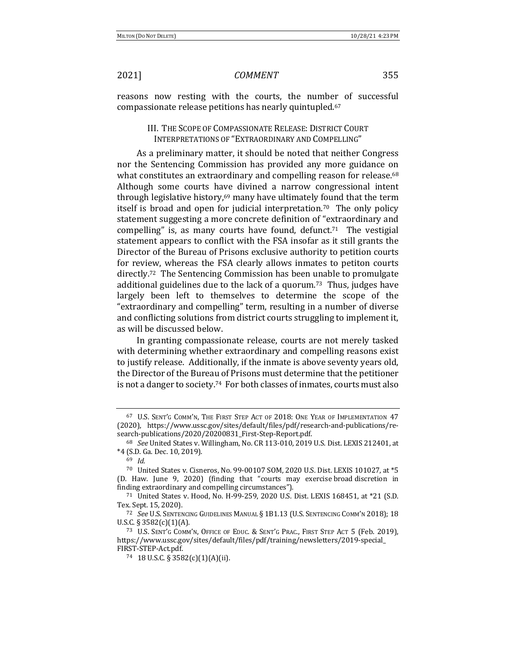reasons now resting with the courts, the number of successful compassionate release petitions has nearly quintupled.<sup>67</sup>

### III. THE SCOPE OF COMPASSIONATE RELEASE: DISTRICT COURT INTERPRETATIONS OF "EXTRAORDINARY AND COMPELLING"

As a preliminary matter, it should be noted that neither Congress nor the Sentencing Commission has provided any more guidance on what constitutes an extraordinary and compelling reason for release.<sup>68</sup> Although some courts have divined a narrow congressional intent through legislative history, $69$  many have ultimately found that the term itself is broad and open for judicial interpretation.<sup>70</sup> The only policy statement suggesting a more concrete definition of "extraordinary and compelling" is, as many courts have found, defunct.<sup>71</sup> The vestigial statement appears to conflict with the FSA insofar as it still grants the Director of the Bureau of Prisons exclusive authority to petition courts for review, whereas the FSA clearly allows inmates to petiton courts directly.<sup>72</sup> The Sentencing Commission has been unable to promulgate additional guidelines due to the lack of a quorum.<sup>73</sup> Thus, judges have largely been left to themselves to determine the scope of the "extraordinary and compelling" term, resulting in a number of diverse and conflicting solutions from district courts struggling to implement it, as will be discussed below.

In granting compassionate release, courts are not merely tasked with determining whether extraordinary and compelling reasons exist to justify release. Additionally, if the inmate is above seventy years old, the Director of the Bureau of Prisons must determine that the petitioner is not a danger to society.<sup>74</sup> For both classes of inmates, courts must also

<sup>&</sup>lt;sup>67</sup> U.S. SENT'G COMM'N, THE FIRST STEP ACT OF 2018: ONE YEAR OF IMPLEMENTATION 47 (2020), https://www.ussc.gov/sites/default/files/pdf/research-and-publications/research-publications/2020/20200831\_First-Step-Report.pdf.

<sup>&</sup>lt;sup>68</sup> See United States v. Willingham, No. CR 113-010, 2019 U.S. Dist. LEXIS 212401, at  $*4$  (S.D. Ga. Dec. 10, 2019).

<sup>69</sup> *Id.*

 $70$  United States v. Cisneros, No. 99-00107 SOM, 2020 U.S. Dist. LEXIS 101027, at  $*5$ (D. Haw. June 9, 2020) (finding that "courts may exercise broad discretion in finding extraordinary and compelling circumstances").

<sup>71</sup> United States v. Hood, No. H-99-259, 2020 U.S. Dist. LEXIS 168451, at \*21 (S.D. Tex. Sept. 15, 2020).

<sup>&</sup>lt;sup>72</sup> See U.S. SENTENCING GUIDELINES MANUAL § 1B1.13 (U.S. SENTENCING COMM'N 2018); 18 U.S.C.  $\S 3582(c)(1)(A)$ .

<sup>&</sup>lt;sup>73</sup> U.S. SENT'G COMM'N, OFFICE OF EDUC. & SENT'G PRAC., FIRST STEP ACT 5 (Feb. 2019), https://www.ussc.gov/sites/default/files/pdf/training/newsletters/2019-special\_ FIRST-STEP-Act.pdf.

<sup>74 18</sup> U.S.C. § 3582(c)(1)(A)(ii).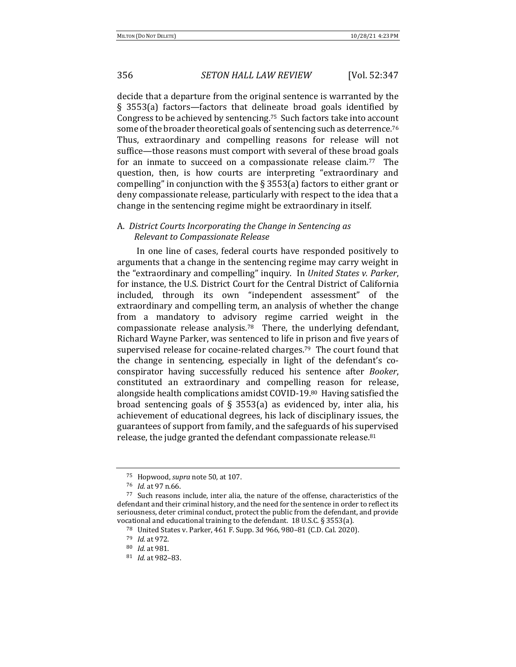decide that a departure from the original sentence is warranted by the § 3553(a) factors—factors that delineate broad goals identified by Congress to be achieved by sentencing.<sup>75</sup> Such factors take into account some of the broader theoretical goals of sentencing such as deterrence.<sup>76</sup> Thus, extraordinary and compelling reasons for release will not suffice—those reasons must comport with several of these broad goals for an inmate to succeed on a compassionate release claim.<sup>77</sup> The question, then, is how courts are interpreting "extraordinary and compelling" in conjunction with the  $\S$  3553(a) factors to either grant or deny compassionate release, particularly with respect to the idea that a change in the sentencing regime might be extraordinary in itself.

# A. District Courts Incorporating the Change in Sentencing as *Relevant to Compassionate Release*

In one line of cases, federal courts have responded positively to arguments that a change in the sentencing regime may carry weight in the "extraordinary and compelling" inquiry. In *United States v. Parker*, for instance, the U.S. District Court for the Central District of California included, through its own "independent assessment" of the extraordinary and compelling term, an analysis of whether the change from a mandatory to advisory regime carried weight in the compassionate release analysis.<sup>78</sup> There, the underlying defendant, Richard Wayne Parker, was sentenced to life in prison and five years of supervised release for cocaine-related charges.<sup>79</sup> The court found that the change in sentencing, especially in light of the defendant's coconspirator having successfully reduced his sentence after *Booker*, constituted an extraordinary and compelling reason for release, alongside health complications amidst COVID-19.80 Having satisfied the broad sentencing goals of § 3553(a) as evidenced by, inter alia, his achievement of educational degrees, his lack of disciplinary issues, the guarantees of support from family, and the safeguards of his supervised release, the judge granted the defendant compassionate release. $81$ 

<sup>&</sup>lt;sup>75</sup> Hopwood, *supra* note 50, at 107.

<sup>76</sup> *Id.* at 97 n.66.

<sup>77</sup> Such reasons include, inter alia, the nature of the offense, characteristics of the defendant and their criminal history, and the need for the sentence in order to reflect its seriousness, deter criminal conduct, protect the public from the defendant, and provide vocational and educational training to the defendant.  $18$  U.S.C. § 3553(a).

<sup>&</sup>lt;sup>78</sup> United States v. Parker, 461 F. Supp. 3d 966, 980–81 (C.D. Cal. 2020).

<sup>79</sup> *Id.* at 972.

<sup>80</sup> *Id.* at 981.

<sup>81</sup> *Id.* at 982-83.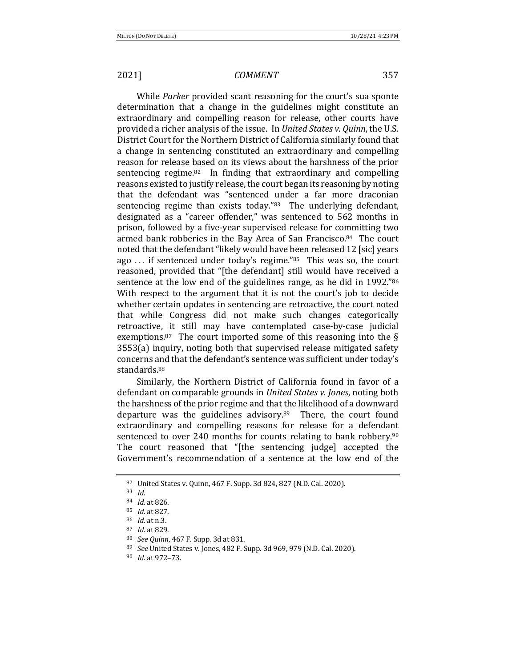While *Parker* provided scant reasoning for the court's sua sponte determination that a change in the guidelines might constitute an extraordinary and compelling reason for release, other courts have provided a richer analysis of the issue. In *United States v. Quinn*, the U.S. District Court for the Northern District of California similarly found that a change in sentencing constituted an extraordinary and compelling reason for release based on its views about the harshness of the prior sentencing regime. $82$  In finding that extraordinary and compelling reasons existed to justify release, the court began its reasoning by noting that the defendant was "sentenced under a far more draconian sentencing regime than exists today." $83$  The underlying defendant, designated as a "career offender," was sentenced to 562 months in prison, followed by a five-year supervised release for committing two armed bank robberies in the Bay Area of San Francisco.<sup>84</sup> The court noted that the defendant "likely would have been released 12 [sic] years ago  $\ldots$  if sentenced under today's regime."<sup>85</sup> This was so, the court reasoned, provided that "[the defendant] still would have received a sentence at the low end of the guidelines range, as he did in 1992."86 With respect to the argument that it is not the court's job to decide whether certain updates in sentencing are retroactive, the court noted that while Congress did not make such changes categorically retroactive, it still may have contemplated case-by-case judicial exemptions.<sup>87</sup> The court imported some of this reasoning into the  $\S$  $3553(a)$  inquiry, noting both that supervised release mitigated safety concerns and that the defendant's sentence was sufficient under today's standards.88

Similarly, the Northern District of California found in favor of a defendant on comparable grounds in *United States v. Jones*, noting both the harshness of the prior regime and that the likelihood of a downward departure was the guidelines advisory.<sup>89</sup> There, the court found extraordinary and compelling reasons for release for a defendant sentenced to over 240 months for counts relating to bank robbery. $90$ The court reasoned that "[the sentencing judge] accepted the Government's recommendation of a sentence at the low end of the

<sup>82</sup> United States v. Quinn, 467 F. Supp. 3d 824, 827 (N.D. Cal. 2020).

<sup>83</sup> *Id.*

<sup>84</sup> *Id.* at 826.

<sup>85</sup> *Id.* at 827.

<sup>86</sup> *Id.* at n.3.

<sup>87</sup> *Id.* at 829.

<sup>88</sup> *See Quinn*, 467 F. Supp. 3d at 831.

<sup>89</sup> *See* United States v. Jones, 482 F. Supp. 3d 969, 979 (N.D. Cal. 2020).

<sup>90</sup> *Id.* at 972–73.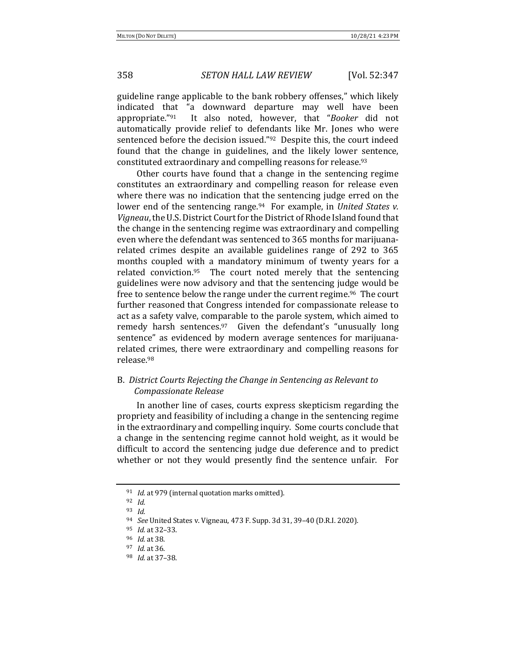guideline range applicable to the bank robbery offenses," which likely indicated that "a downward departure may well have been appropriate."<sup>91</sup> It also noted, however, that "*Booker* did not automatically provide relief to defendants like Mr. Jones who were sentenced before the decision issued." $92$  Despite this, the court indeed found that the change in guidelines, and the likely lower sentence, constituted extraordinary and compelling reasons for release.<sup>93</sup>

Other courts have found that a change in the sentencing regime constitutes an extraordinary and compelling reason for release even where there was no indication that the sentencing judge erred on the lower end of the sentencing range.<sup>94</sup> For example, in *United States v. Vigneau*, the U.S. District Court for the District of Rhode Island found that the change in the sentencing regime was extraordinary and compelling even where the defendant was sentenced to 365 months for marijuanarelated crimes despite an available guidelines range of 292 to 365 months coupled with a mandatory minimum of twenty years for a related conviction.<sup>95</sup> The court noted merely that the sentencing guidelines were now advisory and that the sentencing judge would be free to sentence below the range under the current regime.<sup>96</sup> The court further reasoned that Congress intended for compassionate release to act as a safety valve, comparable to the parole system, which aimed to remedy harsh sentences.<sup>97</sup> Given the defendant's "unusually long sentence" as evidenced by modern average sentences for marijuanarelated crimes, there were extraordinary and compelling reasons for release.98

# B. District Courts Rejecting the Change in Sentencing as Relevant to *Compassionate Release*

In another line of cases, courts express skepticism regarding the propriety and feasibility of including a change in the sentencing regime in the extraordinary and compelling inquiry. Some courts conclude that a change in the sentencing regime cannot hold weight, as it would be difficult to accord the sentencing judge due deference and to predict whether or not they would presently find the sentence unfair. For

<sup>&</sup>lt;sup>91</sup> *Id.* at 979 (internal quotation marks omitted).

<sup>92</sup> *Id.*

<sup>93</sup> *Id.*

<sup>94</sup> *See* United States v. Vigneau, 473 F. Supp. 3d 31, 39-40 (D.R.I. 2020).

<sup>95</sup> *Id.* at 32–33.

<sup>96</sup> *Id.* at 38.

<sup>97</sup> *Id.* at 36.

<sup>98</sup> *Id.* at 37–38.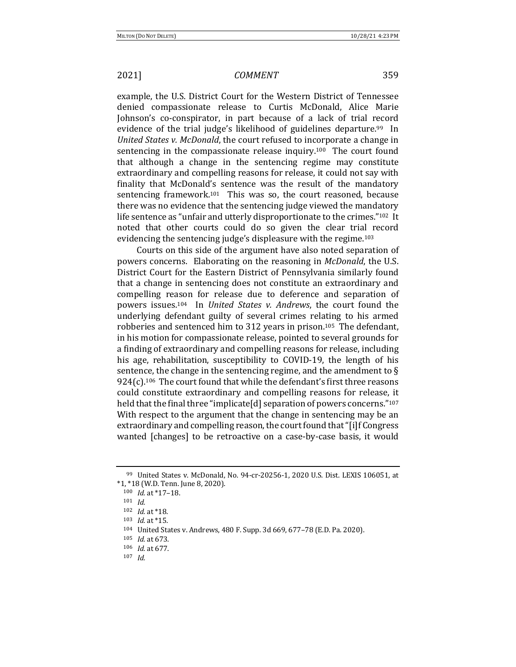example, the U.S. District Court for the Western District of Tennessee denied compassionate release to Curtis McDonald, Alice Marie Johnson's co-conspirator, in part because of a lack of trial record evidence of the trial judge's likelihood of guidelines departure.<sup>99</sup> In *United States v. McDonald*, the court refused to incorporate a change in sentencing in the compassionate release inquiry.<sup>100</sup> The court found that although a change in the sentencing regime may constitute extraordinary and compelling reasons for release, it could not say with finality that McDonald's sentence was the result of the mandatory sentencing framework.<sup>101</sup> This was so, the court reasoned, because there was no evidence that the sentencing judge viewed the mandatory life sentence as "unfair and utterly disproportionate to the crimes."<sup>102</sup> It noted that other courts could do so given the clear trial record evidencing the sentencing judge's displeasure with the regime.<sup>103</sup>

Courts on this side of the argument have also noted separation of powers concerns. Elaborating on the reasoning in *McDonald*, the U.S. District Court for the Eastern District of Pennsylvania similarly found that a change in sentencing does not constitute an extraordinary and compelling reason for release due to deference and separation of powers issues.<sup>104</sup> In *United States v. Andrews*, the court found the underlying defendant guilty of several crimes relating to his armed robberies and sentenced him to 312 years in prison.<sup>105</sup> The defendant, in his motion for compassionate release, pointed to several grounds for a finding of extraordinary and compelling reasons for release, including his age, rehabilitation, susceptibility to COVID-19, the length of his sentence, the change in the sentencing regime, and the amendment to  $\S$  $924(c)$ .<sup>106</sup> The court found that while the defendant's first three reasons could constitute extraordinary and compelling reasons for release, it held that the final three "implicate[d] separation of powers concerns." $107$ With respect to the argument that the change in sentencing may be an extraordinary and compelling reason, the court found that "[i]f Congress wanted [changes] to be retroactive on a case-by-case basis, it would

<sup>107</sup> *Id.*

<sup>99</sup> United States v. McDonald, No. 94-cr-20256-1, 2020 U.S. Dist. LEXIS 106051, at  $*1, *18$  (W.D. Tenn. June 8, 2020).

<sup>100</sup> *Id.* at \*17-18.

<sup>101</sup> *Id.*

<sup>102</sup> *Id.* at \*18.

<sup>103</sup> *Id.* at \*15.

<sup>104</sup> United States v. Andrews, 480 F. Supp. 3d 669, 677-78 (E.D. Pa. 2020).

<sup>105</sup> *Id.* at 673.

<sup>106</sup> *Id.* at 677.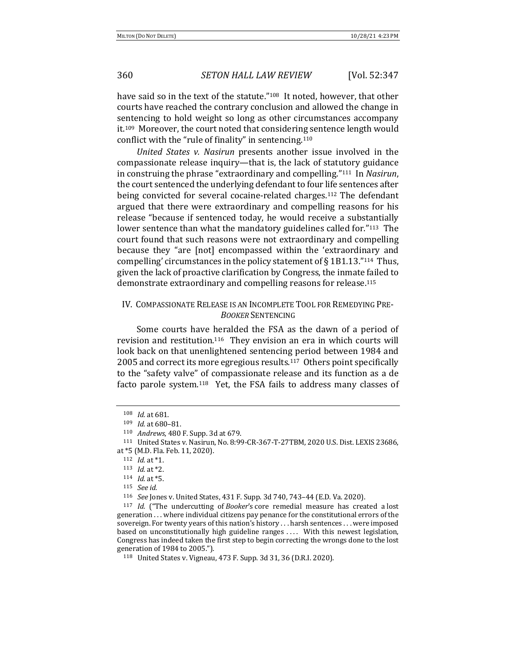have said so in the text of the statute."<sup>108</sup> It noted, however, that other courts have reached the contrary conclusion and allowed the change in sentencing to hold weight so long as other circumstances accompany it.<sup>109</sup> Moreover, the court noted that considering sentence length would conflict with the "rule of finality" in sentencing. $110$ 

United States v. Nasirun presents another issue involved in the compassionate release inquiry—that is, the lack of statutory guidance in construing the phrase "extraordinary and compelling."<sup>111</sup> In *Nasirun*, the court sentenced the underlying defendant to four life sentences after being convicted for several cocaine-related charges.<sup>112</sup> The defendant argued that there were extraordinary and compelling reasons for his release "because if sentenced today, he would receive a substantially lower sentence than what the mandatory guidelines called for."<sup>113</sup> The court found that such reasons were not extraordinary and compelling because they "are [not] encompassed within the 'extraordinary and compelling' circumstances in the policy statement of  $\S$  1B1.13."<sup>114</sup> Thus, given the lack of proactive clarification by Congress, the inmate failed to demonstrate extraordinary and compelling reasons for release.<sup>115</sup>

# IV. COMPASSIONATE RELEASE IS AN INCOMPLETE TOOL FOR REMEDYING PRE-*BOOKER* SENTENCING

Some courts have heralded the FSA as the dawn of a period of revision and restitution.<sup>116</sup> They envision an era in which courts will look back on that unenlightened sentencing period between 1984 and 2005 and correct its more egregious results.<sup>117</sup> Others point specifically to the "safety valve" of compassionate release and its function as a de facto parole system.<sup>118</sup> Yet, the FSA fails to address many classes of

<sup>108</sup> *Id.* at 681.

<sup>109</sup> *Id.* at 680-81.

<sup>110</sup> *Andrews*, 480 F. Supp. 3d at 679.

<sup>&</sup>lt;sup>111</sup> United States v. Nasirun, No. 8:99-CR-367-T-27TBM, 2020 U.S. Dist. LEXIS 23686, at \*5 (M.D. Fla. Feb. 11, 2020).

<sup>112</sup> *Id.* at \*1.

<sup>113</sup> *Id.* at \*2.

 $114$  *Id.* at  $*5$ .

<sup>115</sup> *See id.*

<sup>116</sup> *See* Jones v. United States, 431 F. Supp. 3d 740, 743–44 (E.D. Va. 2020).

<sup>&</sup>lt;sup>117</sup> *Id.* ("The undercutting of *Booker's* core remedial measure has created a lost generation . . . where individual citizens pay penance for the constitutional errors of the sovereign. For twenty years of this nation's history . . . harsh sentences . . . were imposed based on unconstitutionally high guideline ranges .... With this newest legislation, Congress has indeed taken the first step to begin correcting the wrongs done to the lost generation of 1984 to 2005.").

<sup>118</sup> United States v. Vigneau, 473 F. Supp. 3d 31, 36 (D.R.I. 2020).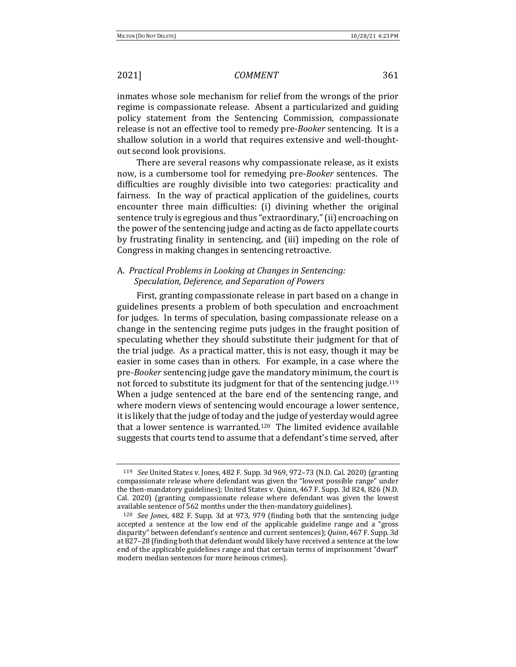inmates whose sole mechanism for relief from the wrongs of the prior regime is compassionate release. Absent a particularized and guiding policy statement from the Sentencing Commission, compassionate release is not an effective tool to remedy pre-*Booker* sentencing. It is a shallow solution in a world that requires extensive and well-thoughtout second look provisions.

There are several reasons why compassionate release, as it exists now, is a cumbersome tool for remedying pre-*Booker* sentences. The difficulties are roughly divisible into two categories: practicality and fairness. In the way of practical application of the guidelines, courts encounter three main difficulties: (i) divining whether the original sentence truly is egregious and thus "extraordinary," (ii) encroaching on the power of the sentencing judge and acting as de facto appellate courts by frustrating finality in sentencing, and (iii) impeding on the role of Congress in making changes in sentencing retroactive.

# A. *Practical Problems in Looking at Changes in Sentencing: Speculation, Deference, and Separation of Powers*

First, granting compassionate release in part based on a change in guidelines presents a problem of both speculation and encroachment for judges. In terms of speculation, basing compassionate release on a change in the sentencing regime puts judges in the fraught position of speculating whether they should substitute their judgment for that of the trial judge. As a practical matter, this is not easy, though it may be easier in some cases than in others. For example, in a case where the pre-*Booker* sentencing judge gave the mandatory minimum, the court is not forced to substitute its judgment for that of the sentencing judge.<sup>119</sup> When a judge sentenced at the bare end of the sentencing range, and where modern views of sentencing would encourage a lower sentence, it is likely that the judge of today and the judge of yesterday would agree that a lower sentence is warranted.<sup>120</sup> The limited evidence available suggests that courts tend to assume that a defendant's time served, after

<sup>&</sup>lt;sup>119</sup> *See* United States v. Jones, 482 F. Supp. 3d 969, 972-73 (N.D. Cal. 2020) (granting compassionate release where defendant was given the "lowest possible range" under the then-mandatory guidelines); United States v. Quinn, 467 F. Supp. 3d 824, 826 (N.D. Cal. 2020) (granting compassionate release where defendant was given the lowest available sentence of 562 months under the then-mandatory guidelines).

<sup>&</sup>lt;sup>120</sup> *See Jones*, 482 F. Supp. 3d at 973, 979 (finding both that the sentencing judge accepted a sentence at the low end of the applicable guideline range and a "gross disparity" between defendant's sentence and current sentences); Quinn, 467 F. Supp. 3d at 827-28 (finding both that defendant would likely have received a sentence at the low end of the applicable guidelines range and that certain terms of imprisonment "dwarf" modern median sentences for more heinous crimes).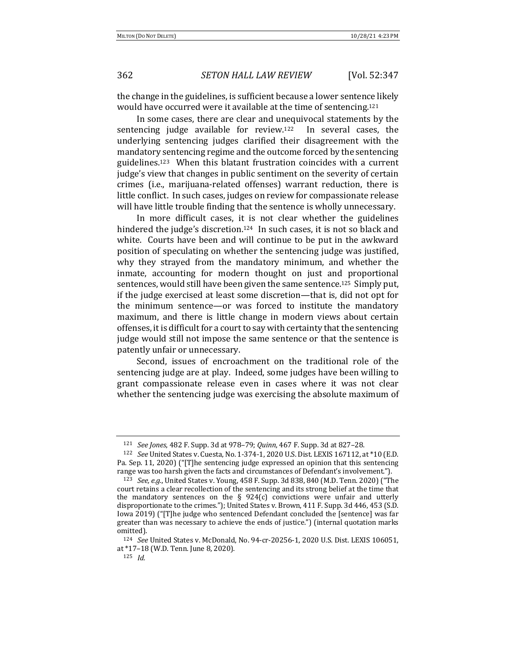the change in the guidelines, is sufficient because a lower sentence likely would have occurred were it available at the time of sentencing.<sup>121</sup>

In some cases, there are clear and unequivocal statements by the sentencing judge available for review.<sup>122</sup> In several cases, the underlying sentencing judges clarified their disagreement with the mandatory sentencing regime and the outcome forced by the sentencing guidelines.<sup>123</sup> When this blatant frustration coincides with a current judge's view that changes in public sentiment on the severity of certain crimes (i.e., marijuana-related offenses) warrant reduction, there is little conflict. In such cases, judges on review for compassionate release will have little trouble finding that the sentence is wholly unnecessary.

In more difficult cases, it is not clear whether the guidelines hindered the judge's discretion.<sup>124</sup> In such cases, it is not so black and white. Courts have been and will continue to be put in the awkward position of speculating on whether the sentencing judge was justified, why they strayed from the mandatory minimum, and whether the inmate, accounting for modern thought on just and proportional sentences, would still have been given the same sentence.<sup>125</sup> Simply put, if the judge exercised at least some discretion—that is, did not opt for the minimum sentence—or was forced to institute the mandatory maximum, and there is little change in modern views about certain offenses, it is difficult for a court to say with certainty that the sentencing judge would still not impose the same sentence or that the sentence is patently unfair or unnecessary.

Second, issues of encroachment on the traditional role of the sentencing judge are at play. Indeed, some judges have been willing to grant compassionate release even in cases where it was not clear whether the sentencing judge was exercising the absolute maximum of

<sup>121</sup> *See Jones*, 482 F. Supp. 3d at 978-79; *Quinn*, 467 F. Supp. 3d at 827-28.

<sup>&</sup>lt;sup>122</sup> *See* United States v. Cuesta, No. 1-374-1, 2020 U.S. Dist. LEXIS 167112, at \*10 (E.D. Pa. Sep. 11, 2020) ("[T]he sentencing judge expressed an opinion that this sentencing range was too harsh given the facts and circumstances of Defendant's involvement.").

<sup>123</sup> *See, e.g.*, United States v. Young, 458 F. Supp. 3d 838, 840 (M.D. Tenn. 2020) ("The court retains a clear recollection of the sentencing and its strong belief at the time that the mandatory sentences on the  $\S$  924(c) convictions were unfair and utterly disproportionate to the crimes."); United States v. Brown, 411 F. Supp. 3d 446, 453 (S.D. Iowa 2019) ("[T]he judge who sentenced Defendant concluded the [sentence] was far greater than was necessary to achieve the ends of justice.") (internal quotation marks omitted).

<sup>&</sup>lt;sup>124</sup> *See* United States v. McDonald, No. 94-cr-20256-1, 2020 U.S. Dist. LEXIS 106051, at \*17-18 (W.D. Tenn. June 8, 2020).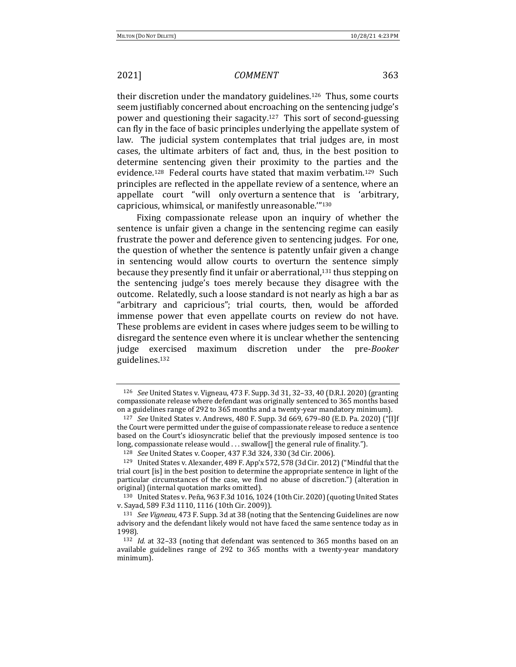their discretion under the mandatory guidelines.<sup>126</sup> Thus, some courts seem justifiably concerned about encroaching on the sentencing judge's power and questioning their sagacity.<sup>127</sup> This sort of second-guessing can fly in the face of basic principles underlying the appellate system of law. The judicial system contemplates that trial judges are, in most cases, the ultimate arbiters of fact and, thus, in the best position to determine sentencing given their proximity to the parties and the evidence.<sup>128</sup> Federal courts have stated that maxim verbatim.<sup>129</sup> Such principles are reflected in the appellate review of a sentence, where an appellate court "will only overturn a sentence that is 'arbitrary, capricious, whimsical, or manifestly unreasonable."<sup>130</sup>

Fixing compassionate release upon an inquiry of whether the sentence is unfair given a change in the sentencing regime can easily frustrate the power and deference given to sentencing judges. For one, the question of whether the sentence is patently unfair given a change in sentencing would allow courts to overturn the sentence simply because they presently find it unfair or aberrational, $131$  thus stepping on the sentencing judge's toes merely because they disagree with the outcome. Relatedly, such a loose standard is not nearly as high a bar as "arbitrary and capricious"; trial courts, then, would be afforded immense power that even appellate courts on review do not have. These problems are evident in cases where judges seem to be willing to disregard the sentence even where it is unclear whether the sentencing judge exercised maximum discretion under the pre-*Booker* guidelines.132

<sup>126</sup> *See* United States v. Vigneau, 473 F. Supp. 3d 31, 32-33, 40 (D.R.I. 2020) (granting compassionate release where defendant was originally sentenced to 365 months based on a guidelines range of 292 to 365 months and a twenty-year mandatory minimum).

<sup>127</sup> *See* United States v. Andrews, 480 F. Supp. 3d 669, 679–80 (E.D. Pa. 2020) ("[I]f the Court were permitted under the guise of compassionate release to reduce a sentence based on the Court's idiosyncratic belief that the previously imposed sentence is too long, compassionate release would ... swallow[] the general rule of finality.").

<sup>128</sup> *See* United States v. Cooper, 437 F.3d 324, 330 (3d Cir. 2006).

<sup>&</sup>lt;sup>129</sup> United States v. Alexander, 489 F. App'x 572, 578 (3d Cir. 2012) ("Mindful that the trial court [is] in the best position to determine the appropriate sentence in light of the particular circumstances of the case, we find no abuse of discretion.") (alteration in original) (internal quotation marks omitted).

<sup>130</sup> United States v. Peña, 963 F.3d 1016, 1024 (10th Cir. 2020)(quoting United States v. Sayad, 589 F.3d 1110, 1116 (10th Cir. 2009)).

<sup>&</sup>lt;sup>131</sup> *See Vigneau*, 473 F. Supp. 3d at 38 (noting that the Sentencing Guidelines are now advisory and the defendant likely would not have faced the same sentence today as in 1998).

<sup>132</sup> *Id.* at 32-33 (noting that defendant was sentenced to 365 months based on an available guidelines range of 292 to 365 months with a twenty-year mandatory minimum).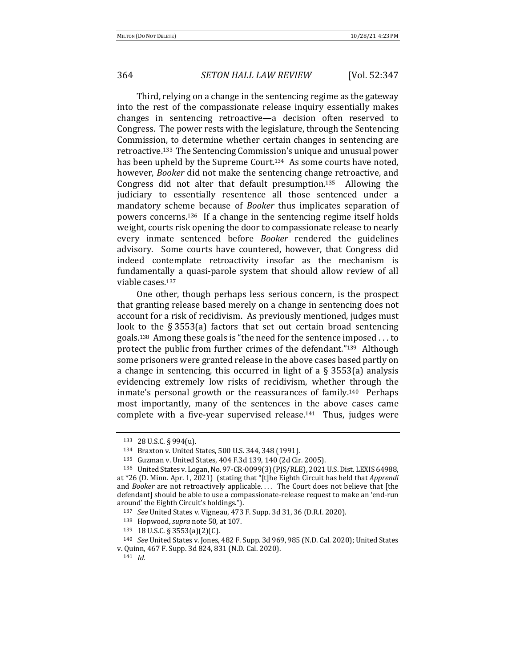Third, relying on a change in the sentencing regime as the gateway into the rest of the compassionate release inquiry essentially makes changes in sentencing retroactive—a decision often reserved to Congress. The power rests with the legislature, through the Sentencing Commission, to determine whether certain changes in sentencing are retroactive.<sup>133</sup> The Sentencing Commission's unique and unusual power has been upheld by the Supreme Court.<sup>134</sup> As some courts have noted, however, *Booker* did not make the sentencing change retroactive, and Congress did not alter that default presumption.<sup>135</sup> Allowing the judiciary to essentially resentence all those sentenced under a mandatory scheme because of *Booker* thus implicates separation of powers concerns.<sup>136</sup> If a change in the sentencing regime itself holds weight, courts risk opening the door to compassionate release to nearly every inmate sentenced before *Booker* rendered the guidelines advisory. Some courts have countered, however, that Congress did indeed contemplate retroactivity insofar as the mechanism is fundamentally a quasi-parole system that should allow review of all viable cases.<sup>137</sup>

One other, though perhaps less serious concern, is the prospect that granting release based merely on a change in sentencing does not account for a risk of recidivism. As previously mentioned, judges must look to the  $\S 3553(a)$  factors that set out certain broad sentencing goals.<sup>138</sup> Among these goals is "the need for the sentence imposed  $\dots$  to protect the public from further crimes of the defendant."<sup>139</sup> Although some prisoners were granted release in the above cases based partly on a change in sentencing, this occurred in light of a  $\S$  3553(a) analysis evidencing extremely low risks of recidivism, whether through the inmate's personal growth or the reassurances of family.<sup>140</sup> Perhaps most importantly, many of the sentences in the above cases came complete with a five-year supervised release.<sup>141</sup> Thus, judges were

<sup>141</sup> *Id.*

<sup>133</sup> 28 U.S.C. § 994(u).

<sup>134</sup> Braxton v. United States, 500 U.S. 344, 348 (1991).

<sup>135</sup> Guzman v. United States, 404 F.3d 139, 140 (2d Cir. 2005).

<sup>136</sup> United States v. Logan, No. 97-CR-0099(3) (PJS/RLE), 2021 U.S. Dist. LEXIS 64988, at \*26 (D. Minn. Apr. 1, 2021) (stating that "[t]he Eighth Circuit has held that *Apprendi* and *Booker* are not retroactively applicable.... The Court does not believe that [the defendant] should be able to use a compassionate-release request to make an 'end-run around' the Eighth Circuit's holdings.").

<sup>137</sup> *See* United States v. Vigneau, 473 F. Supp. 3d 31, 36 (D.R.I. 2020).

<sup>138</sup> Hopwood, *supra* note 50, at 107.

<sup>139</sup> 18 U.S.C. § 3553(a)(2)(C).

<sup>&</sup>lt;sup>140</sup> *See* United States v. Jones, 482 F. Supp. 3d 969, 985 (N.D. Cal. 2020); United States v. Quinn, 467 F. Supp. 3d 824, 831 (N.D. Cal. 2020).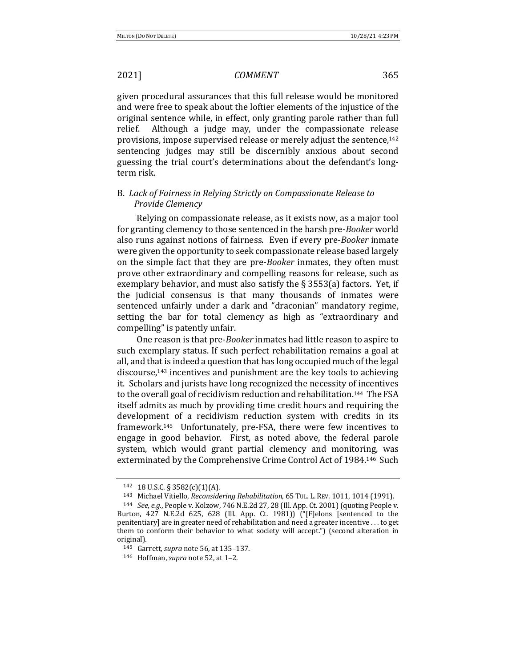given procedural assurances that this full release would be monitored and were free to speak about the loftier elements of the injustice of the original sentence while, in effect, only granting parole rather than full relief. Although a judge may, under the compassionate release provisions, impose supervised release or merely adjust the sentence,<sup>142</sup> sentencing judges may still be discernibly anxious about second guessing the trial court's determinations about the defendant's longterm risk.

# B. Lack of Fairness in Relying Strictly on Compassionate Release to *Provide Clemency*

Relying on compassionate release, as it exists now, as a major tool for granting clemency to those sentenced in the harsh pre-*Booker* world also runs against notions of fairness. Even if every pre-*Booker* inmate were given the opportunity to seek compassionate release based largely on the simple fact that they are pre-*Booker* inmates, they often must prove other extraordinary and compelling reasons for release, such as exemplary behavior, and must also satisfy the  $\S$  3553(a) factors. Yet, if the judicial consensus is that many thousands of inmates were sentenced unfairly under a dark and "draconian" mandatory regime, setting the bar for total clemency as high as "extraordinary and compelling" is patently unfair.

One reason is that pre-*Booker* inmates had little reason to aspire to such exemplary status. If such perfect rehabilitation remains a goal at all, and that is indeed a question that has long occupied much of the legal discourse,<sup>143</sup> incentives and punishment are the key tools to achieving it. Scholars and jurists have long recognized the necessity of incentives to the overall goal of recidivism reduction and rehabilitation.<sup>144</sup> The FSA itself admits as much by providing time credit hours and requiring the development of a recidivism reduction system with credits in its framework.<sup>145</sup> Unfortunately, pre-FSA, there were few incentives to engage in good behavior. First, as noted above, the federal parole system, which would grant partial clemency and monitoring, was exterminated by the Comprehensive Crime Control Act of 1984.<sup>146</sup> Such

<sup>142 18</sup> U.S.C.  $\S$  3582(c)(1)(A).

<sup>143</sup> Michael Vitiello, *Reconsidering Rehabilitation*, 65 TUL. L. REV. 1011, 1014 (1991).

<sup>144</sup> *See, e.g.*, People v. Kolzow, 746 N.E.2d 27, 28 (Ill. App. Ct. 2001) (quoting People v. Burton, 427 N.E.2d 625, 628 (Ill. App. Ct. 1981)) ("[F]elons [sentenced to the penitentiary] are in greater need of rehabilitation and need a greater incentive . . . to get them to conform their behavior to what society will accept.") (second alteration in original).

<sup>145</sup> Garrett, *supra* note 56, at 135-137.

<sup>146</sup> Hoffman, *supra* note 52, at 1-2.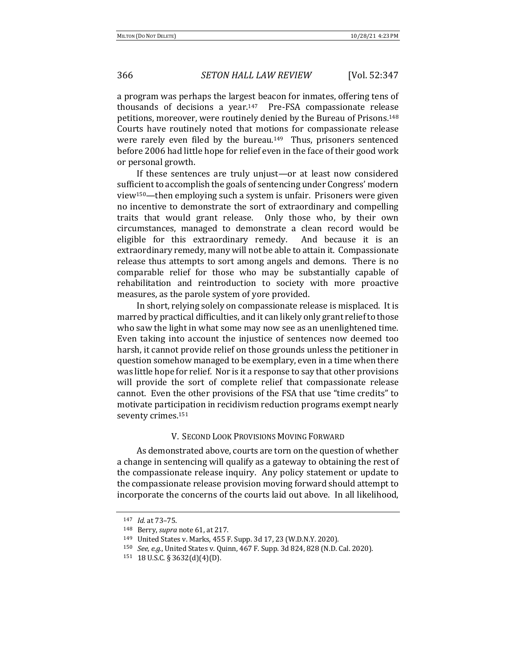a program was perhaps the largest beacon for inmates, offering tens of thousands of decisions a year.<sup>147</sup> Pre-FSA compassionate release petitions, moreover, were routinely denied by the Bureau of Prisons.<sup>148</sup> Courts have routinely noted that motions for compassionate release were rarely even filed by the bureau.<sup>149</sup> Thus, prisoners sentenced before 2006 had little hope for relief even in the face of their good work or personal growth.

If these sentences are truly unjust—or at least now considered sufficient to accomplish the goals of sentencing under Congress' modern view<sup>150</sup>—then employing such a system is unfair. Prisoners were given no incentive to demonstrate the sort of extraordinary and compelling traits that would grant release. Only those who, by their own circumstances, managed to demonstrate a clean record would be eligible for this extraordinary remedy. And because it is an extraordinary remedy, many will not be able to attain it. Compassionate release thus attempts to sort among angels and demons. There is no comparable relief for those who may be substantially capable of rehabilitation and reintroduction to society with more proactive measures, as the parole system of yore provided.

In short, relying solely on compassionate release is misplaced. It is marred by practical difficulties, and it can likely only grant relief to those who saw the light in what some may now see as an unenlightened time. Even taking into account the injustice of sentences now deemed too harsh, it cannot provide relief on those grounds unless the petitioner in question somehow managed to be exemplary, even in a time when there was little hope for relief. Nor is it a response to say that other provisions will provide the sort of complete relief that compassionate release cannot. Even the other provisions of the FSA that use "time credits" to motivate participation in recidivism reduction programs exempt nearly seventy crimes.<sup>151</sup>

### V. SECOND LOOK PROVISIONS MOVING FORWARD

As demonstrated above, courts are torn on the question of whether a change in sentencing will qualify as a gateway to obtaining the rest of the compassionate release inquiry. Any policy statement or update to the compassionate release provision moving forward should attempt to incorporate the concerns of the courts laid out above. In all likelihood,

<sup>147</sup> *Id.* at 73-75.

<sup>148</sup> Berry, *supra* note 61, at 217.

<sup>149</sup> United States v. Marks, 455 F. Supp. 3d 17, 23 (W.D.N.Y. 2020).

<sup>150</sup> *See, e.g.*, United States v. Quinn, 467 F. Supp. 3d 824, 828 (N.D. Cal. 2020).

 $151$  18 U.S.C. § 3632(d)(4)(D).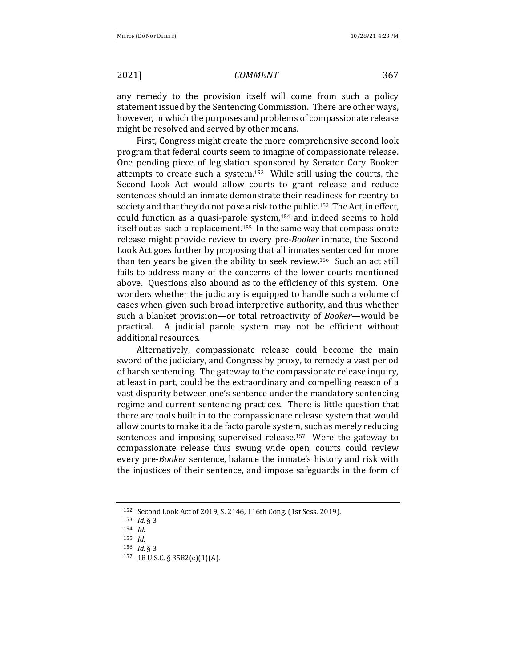any remedy to the provision itself will come from such a policy statement issued by the Sentencing Commission. There are other ways, however, in which the purposes and problems of compassionate release might be resolved and served by other means.

First, Congress might create the more comprehensive second look program that federal courts seem to imagine of compassionate release. One pending piece of legislation sponsored by Senator Cory Booker attempts to create such a system.<sup>152</sup> While still using the courts, the Second Look Act would allow courts to grant release and reduce sentences should an inmate demonstrate their readiness for reentry to society and that they do not pose a risk to the public.<sup>153</sup> The Act, in effect, could function as a quasi-parole system, $154$  and indeed seems to hold itself out as such a replacement.<sup>155</sup> In the same way that compassionate release might provide review to every pre-*Booker* inmate, the Second Look Act goes further by proposing that all inmates sentenced for more than ten years be given the ability to seek review.<sup>156</sup> Such an act still fails to address many of the concerns of the lower courts mentioned above. Questions also abound as to the efficiency of this system. One wonders whether the judiciary is equipped to handle such a volume of cases when given such broad interpretive authority, and thus whether such a blanket provision—or total retroactivity of *Booker*—would be practical. A judicial parole system may not be efficient without additional resources.

Alternatively, compassionate release could become the main sword of the judiciary, and Congress by proxy, to remedy a vast period of harsh sentencing. The gateway to the compassionate release inquiry, at least in part, could be the extraordinary and compelling reason of a vast disparity between one's sentence under the mandatory sentencing regime and current sentencing practices. There is little question that there are tools built in to the compassionate release system that would allow courts to make it a de facto parole system, such as merely reducing sentences and imposing supervised release.<sup>157</sup> Were the gateway to compassionate release thus swung wide open, courts could review every pre-*Booker* sentence, balance the inmate's history and risk with the injustices of their sentence, and impose safeguards in the form of

<sup>152</sup> Second Look Act of 2019, S. 2146, 116th Cong. (1st Sess. 2019).

<sup>153</sup> *Id.* § 3

<sup>154</sup> *Id.*

<sup>155</sup> *Id.* <sup>156</sup> *Id.* § 3

<sup>157 18</sup> U.S.C. § 3582(c)(1)(A).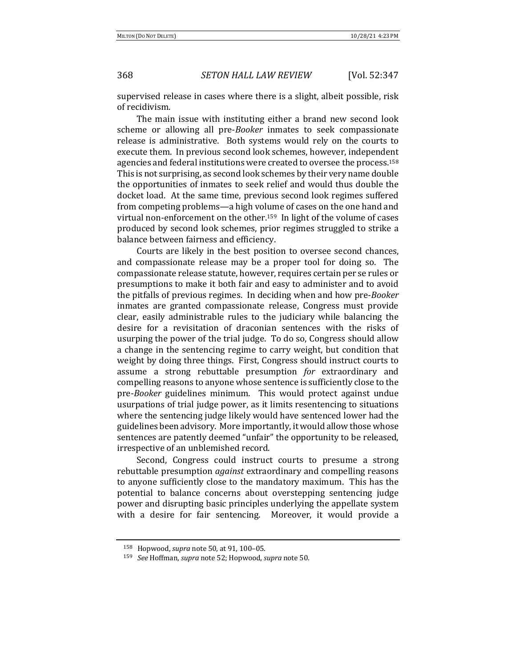supervised release in cases where there is a slight, albeit possible, risk of recidivism.

The main issue with instituting either a brand new second look scheme or allowing all pre-*Booker* inmates to seek compassionate release is administrative. Both systems would rely on the courts to execute them. In previous second look schemes, however, independent agencies and federal institutions were created to oversee the process.<sup>158</sup> This is not surprising, as second look schemes by their very name double the opportunities of inmates to seek relief and would thus double the docket load. At the same time, previous second look regimes suffered from competing problems—a high volume of cases on the one hand and virtual non-enforcement on the other.<sup>159</sup> In light of the volume of cases produced by second look schemes, prior regimes struggled to strike a balance between fairness and efficiency.

Courts are likely in the best position to oversee second chances, and compassionate release may be a proper tool for doing so. The compassionate release statute, however, requires certain per se rules or presumptions to make it both fair and easy to administer and to avoid the pitfalls of previous regimes. In deciding when and how pre-*Booker* inmates are granted compassionate release, Congress must provide clear, easily administrable rules to the judiciary while balancing the desire for a revisitation of draconian sentences with the risks of usurping the power of the trial judge. To do so, Congress should allow a change in the sentencing regime to carry weight, but condition that weight by doing three things. First, Congress should instruct courts to assume a strong rebuttable presumption *for* extraordinary and compelling reasons to anyone whose sentence is sufficiently close to the pre-*Booker* guidelines minimum. This would protect against undue usurpations of trial judge power, as it limits resentencing to situations where the sentencing judge likely would have sentenced lower had the guidelines been advisory. More importantly, it would allow those whose sentences are patently deemed "unfair" the opportunity to be released, irrespective of an unblemished record.

Second, Congress could instruct courts to presume a strong rebuttable presumption *against* extraordinary and compelling reasons to anyone sufficiently close to the mandatory maximum. This has the potential to balance concerns about overstepping sentencing judge power and disrupting basic principles underlying the appellate system with a desire for fair sentencing. Moreover, it would provide a

<sup>158</sup> Hopwood, *supra* note 50, at 91, 100–05.

<sup>159</sup> *See* Hoffman, *supra* note 52; Hopwood, *supra* note 50.